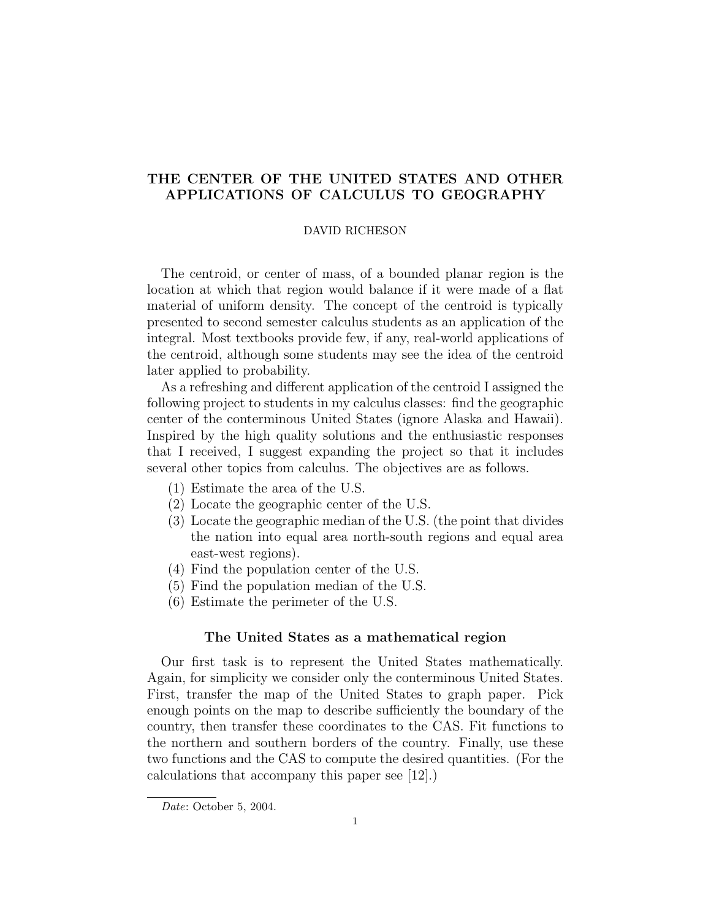# THE CENTER OF THE UNITED STATES AND OTHER APPLICATIONS OF CALCULUS TO GEOGRAPHY

## DAVID RICHESON

The centroid, or center of mass, of a bounded planar region is the location at which that region would balance if it were made of a flat material of uniform density. The concept of the centroid is typically presented to second semester calculus students as an application of the integral. Most textbooks provide few, if any, real-world applications of the centroid, although some students may see the idea of the centroid later applied to probability.

As a refreshing and different application of the centroid I assigned the following project to students in my calculus classes: find the geographic center of the conterminous United States (ignore Alaska and Hawaii). Inspired by the high quality solutions and the enthusiastic responses that I received, I suggest expanding the project so that it includes several other topics from calculus. The objectives are as follows.

- (1) Estimate the area of the U.S.
- (2) Locate the geographic center of the U.S.
- (3) Locate the geographic median of the U.S. (the point that divides the nation into equal area north-south regions and equal area east-west regions).
- (4) Find the population center of the U.S.
- (5) Find the population median of the U.S.
- (6) Estimate the perimeter of the U.S.

# The United States as a mathematical region

Our first task is to represent the United States mathematically. Again, for simplicity we consider only the conterminous United States. First, transfer the map of the United States to graph paper. Pick enough points on the map to describe sufficiently the boundary of the country, then transfer these coordinates to the CAS. Fit functions to the northern and southern borders of the country. Finally, use these two functions and the CAS to compute the desired quantities. (For the calculations that accompany this paper see [12].)

Date: October 5, 2004.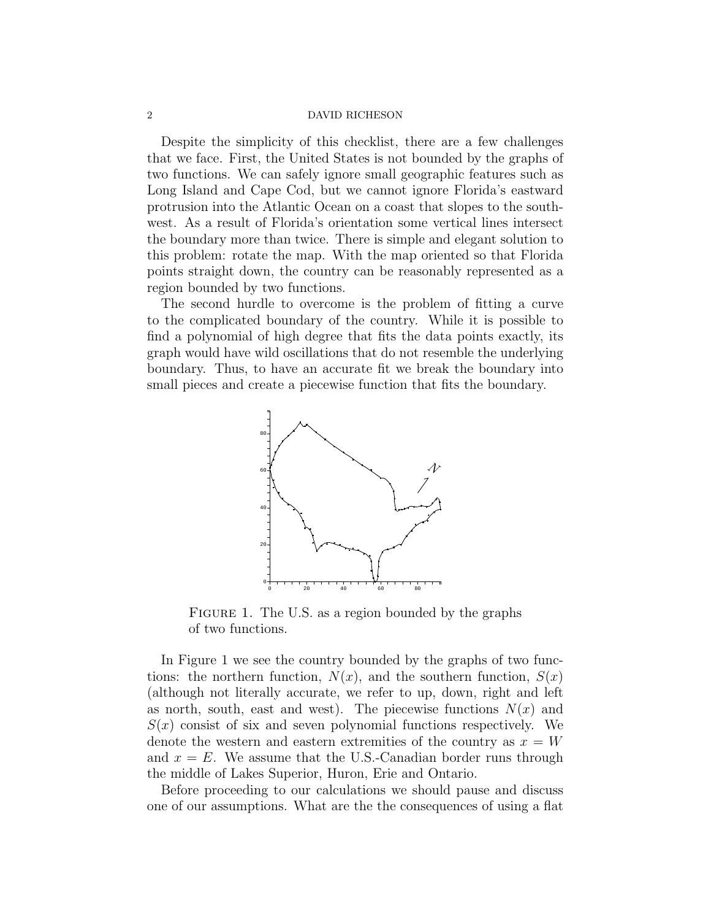Despite the simplicity of this checklist, there are a few challenges that we face. First, the United States is not bounded by the graphs of two functions. We can safely ignore small geographic features such as Long Island and Cape Cod, but we cannot ignore Florida's eastward protrusion into the Atlantic Ocean on a coast that slopes to the southwest. As a result of Florida's orientation some vertical lines intersect the boundary more than twice. There is simple and elegant solution to this problem: rotate the map. With the map oriented so that Florida points straight down, the country can be reasonably represented as a region bounded by two functions.

The second hurdle to overcome is the problem of fitting a curve to the complicated boundary of the country. While it is possible to find a polynomial of high degree that fits the data points exactly, its graph would have wild oscillations that do not resemble the underlying boundary. Thus, to have an accurate fit we break the boundary into small pieces and create a piecewise function that fits the boundary.



FIGURE 1. The U.S. as a region bounded by the graphs of two functions.

In Figure 1 we see the country bounded by the graphs of two functions: the northern function,  $N(x)$ , and the southern function,  $S(x)$ (although not literally accurate, we refer to up, down, right and left as north, south, east and west). The piecewise functions  $N(x)$  and  $S(x)$  consist of six and seven polynomial functions respectively. We denote the western and eastern extremities of the country as  $x = W$ and  $x = E$ . We assume that the U.S.-Canadian border runs through the middle of Lakes Superior, Huron, Erie and Ontario.

Before proceeding to our calculations we should pause and discuss one of our assumptions. What are the the consequences of using a flat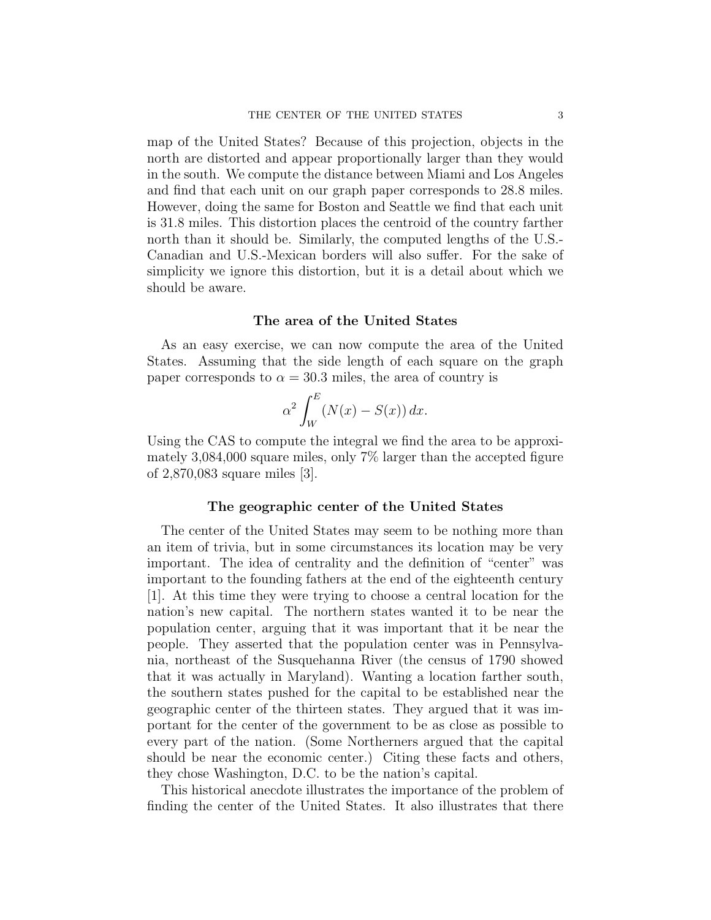map of the United States? Because of this projection, objects in the north are distorted and appear proportionally larger than they would in the south. We compute the distance between Miami and Los Angeles and find that each unit on our graph paper corresponds to 28.8 miles. However, doing the same for Boston and Seattle we find that each unit is 31.8 miles. This distortion places the centroid of the country farther north than it should be. Similarly, the computed lengths of the U.S.- Canadian and U.S.-Mexican borders will also suffer. For the sake of simplicity we ignore this distortion, but it is a detail about which we should be aware.

# The area of the United States

As an easy exercise, we can now compute the area of the United States. Assuming that the side length of each square on the graph paper corresponds to  $\alpha = 30.3$  miles, the area of country is

$$
\alpha^2 \int_W^E (N(x) - S(x)) \, dx.
$$

Using the CAS to compute the integral we find the area to be approximately 3,084,000 square miles, only 7% larger than the accepted figure of 2,870,083 square miles [3].

## The geographic center of the United States

The center of the United States may seem to be nothing more than an item of trivia, but in some circumstances its location may be very important. The idea of centrality and the definition of "center" was important to the founding fathers at the end of the eighteenth century [1]. At this time they were trying to choose a central location for the nation's new capital. The northern states wanted it to be near the population center, arguing that it was important that it be near the people. They asserted that the population center was in Pennsylvania, northeast of the Susquehanna River (the census of 1790 showed that it was actually in Maryland). Wanting a location farther south, the southern states pushed for the capital to be established near the geographic center of the thirteen states. They argued that it was important for the center of the government to be as close as possible to every part of the nation. (Some Northerners argued that the capital should be near the economic center.) Citing these facts and others, they chose Washington, D.C. to be the nation's capital.

This historical anecdote illustrates the importance of the problem of finding the center of the United States. It also illustrates that there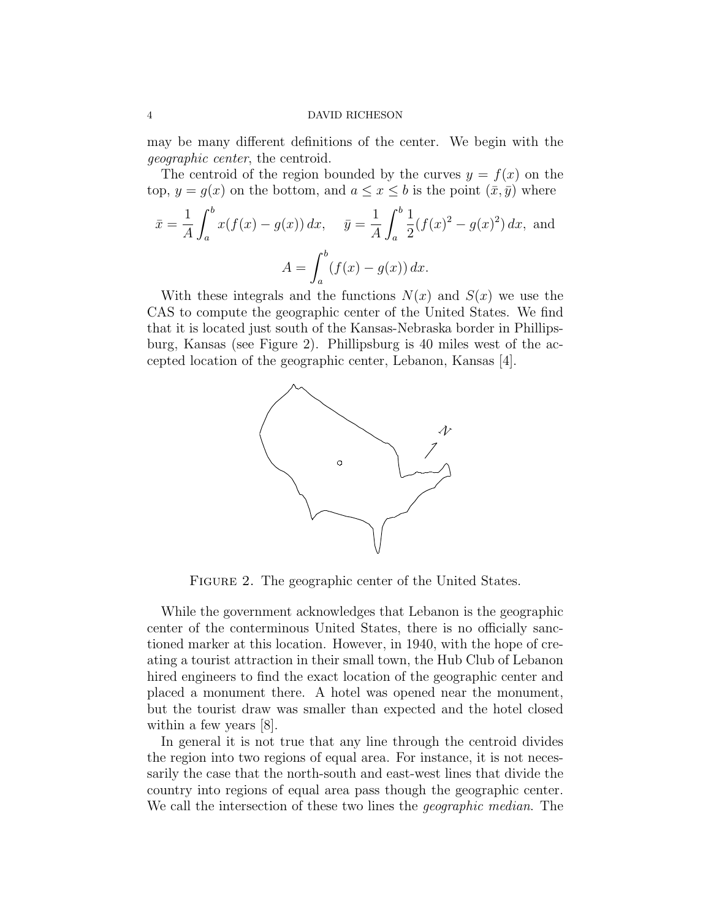may be many different definitions of the center. We begin with the geographic center, the centroid.

The centroid of the region bounded by the curves  $y = f(x)$  on the top,  $y = g(x)$  on the bottom, and  $a \le x \le b$  is the point  $(\bar{x}, \bar{y})$  where

$$
\bar{x} = \frac{1}{A} \int_{a}^{b} x(f(x) - g(x)) dx, \quad \bar{y} = \frac{1}{A} \int_{a}^{b} \frac{1}{2} (f(x)^{2} - g(x)^{2}) dx, \text{ and}
$$

$$
A = \int_{a}^{b} (f(x) - g(x)) dx.
$$

With these integrals and the functions  $N(x)$  and  $S(x)$  we use the CAS to compute the geographic center of the United States. We find that it is located just south of the Kansas-Nebraska border in Phillipsburg, Kansas (see Figure 2). Phillipsburg is 40 miles west of the accepted location of the geographic center, Lebanon, Kansas [4].



FIGURE 2. The geographic center of the United States.

While the government acknowledges that Lebanon is the geographic center of the conterminous United States, there is no officially sanctioned marker at this location. However, in 1940, with the hope of creating a tourist attraction in their small town, the Hub Club of Lebanon hired engineers to find the exact location of the geographic center and placed a monument there. A hotel was opened near the monument, but the tourist draw was smaller than expected and the hotel closed within a few years [8].

In general it is not true that any line through the centroid divides the region into two regions of equal area. For instance, it is not necessarily the case that the north-south and east-west lines that divide the country into regions of equal area pass though the geographic center. We call the intersection of these two lines the *geographic median*. The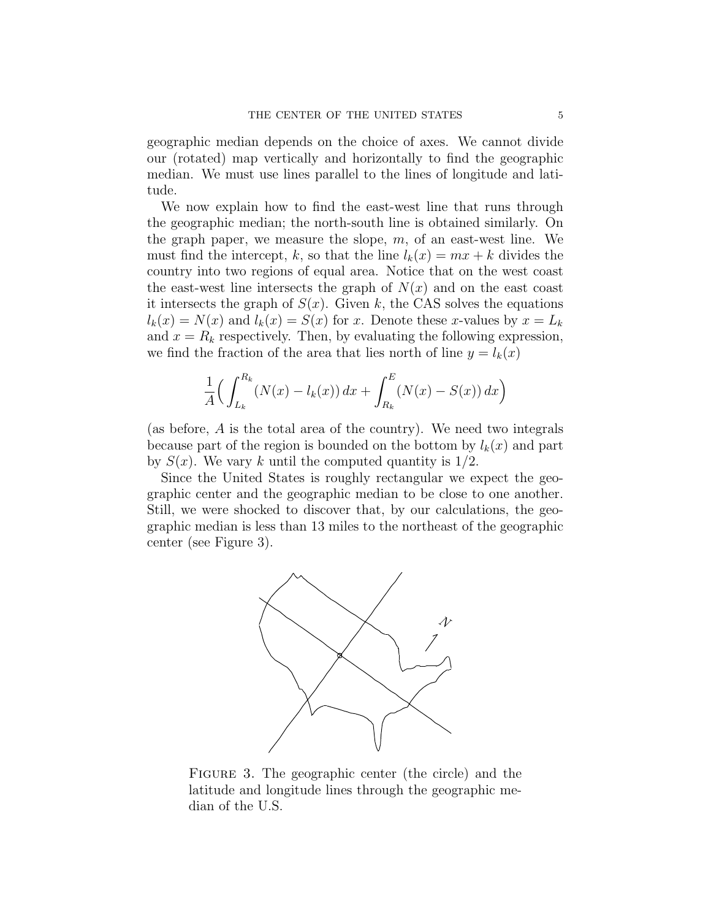geographic median depends on the choice of axes. We cannot divide our (rotated) map vertically and horizontally to find the geographic median. We must use lines parallel to the lines of longitude and latitude.

We now explain how to find the east-west line that runs through the geographic median; the north-south line is obtained similarly. On the graph paper, we measure the slope,  $m$ , of an east-west line. We must find the intercept, k, so that the line  $l_k(x) = mx + k$  divides the country into two regions of equal area. Notice that on the west coast the east-west line intersects the graph of  $N(x)$  and on the east coast it intersects the graph of  $S(x)$ . Given k, the CAS solves the equations  $l_k(x) = N(x)$  and  $l_k(x) = S(x)$  for x. Denote these x-values by  $x = L_k$ and  $x = R_k$  respectively. Then, by evaluating the following expression, we find the fraction of the area that lies north of line  $y = l_k(x)$ 

$$
\frac{1}{A} \Big( \int_{L_k}^{R_k} (N(x) - l_k(x)) \, dx + \int_{R_k}^E (N(x) - S(x)) \, dx \Big)
$$

(as before, A is the total area of the country). We need two integrals because part of the region is bounded on the bottom by  $l_k(x)$  and part by  $S(x)$ . We vary k until the computed quantity is  $1/2$ .

Since the United States is roughly rectangular we expect the geographic center and the geographic median to be close to one another. Still, we were shocked to discover that, by our calculations, the geographic median is less than 13 miles to the northeast of the geographic center (see Figure 3).



Figure 3. The geographic center (the circle) and the latitude and longitude lines through the geographic median of the U.S.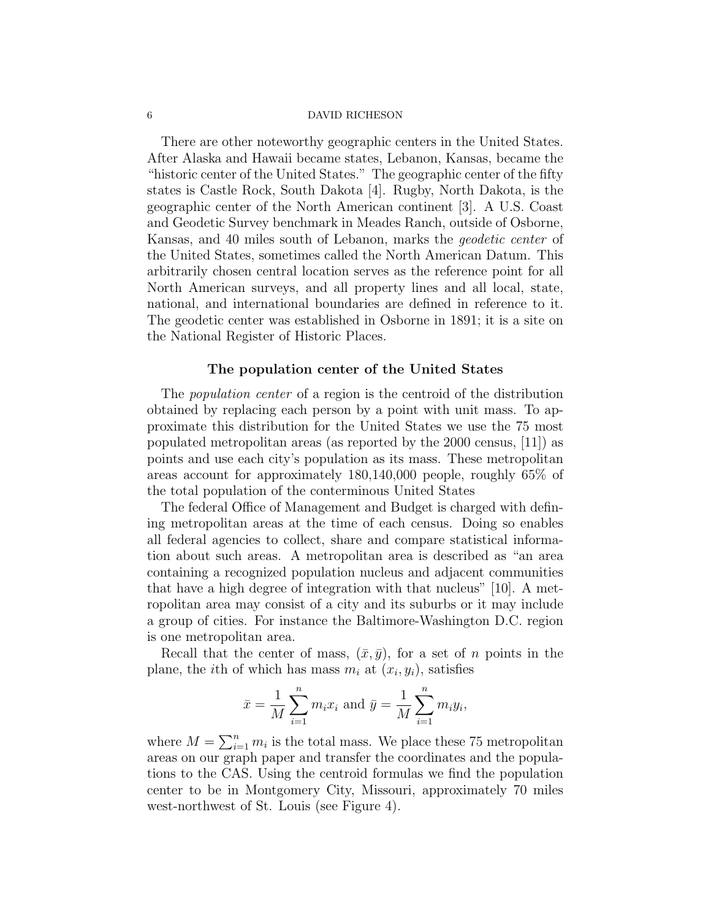There are other noteworthy geographic centers in the United States. After Alaska and Hawaii became states, Lebanon, Kansas, became the "historic center of the United States." The geographic center of the fifty states is Castle Rock, South Dakota [4]. Rugby, North Dakota, is the geographic center of the North American continent [3]. A U.S. Coast and Geodetic Survey benchmark in Meades Ranch, outside of Osborne, Kansas, and 40 miles south of Lebanon, marks the geodetic center of the United States, sometimes called the North American Datum. This arbitrarily chosen central location serves as the reference point for all North American surveys, and all property lines and all local, state, national, and international boundaries are defined in reference to it. The geodetic center was established in Osborne in 1891; it is a site on the National Register of Historic Places.

## The population center of the United States

The *population center* of a region is the centroid of the distribution obtained by replacing each person by a point with unit mass. To approximate this distribution for the United States we use the 75 most populated metropolitan areas (as reported by the 2000 census, [11]) as points and use each city's population as its mass. These metropolitan areas account for approximately 180,140,000 people, roughly 65% of the total population of the conterminous United States

The federal Office of Management and Budget is charged with defining metropolitan areas at the time of each census. Doing so enables all federal agencies to collect, share and compare statistical information about such areas. A metropolitan area is described as "an area containing a recognized population nucleus and adjacent communities that have a high degree of integration with that nucleus" [10]. A metropolitan area may consist of a city and its suburbs or it may include a group of cities. For instance the Baltimore-Washington D.C. region is one metropolitan area.

Recall that the center of mass,  $(\bar{x}, \bar{y})$ , for a set of n points in the plane, the *i*th of which has mass  $m_i$  at  $(x_i, y_i)$ , satisfies

$$
\bar{x} = \frac{1}{M} \sum_{i=1}^{n} m_i x_i
$$
 and  $\bar{y} = \frac{1}{M} \sum_{i=1}^{n} m_i y_i$ ,

where  $M = \sum_{i=1}^{n} m_i$  is the total mass. We place these 75 metropolitan areas on our graph paper and transfer the coordinates and the populations to the CAS. Using the centroid formulas we find the population center to be in Montgomery City, Missouri, approximately 70 miles west-northwest of St. Louis (see Figure 4).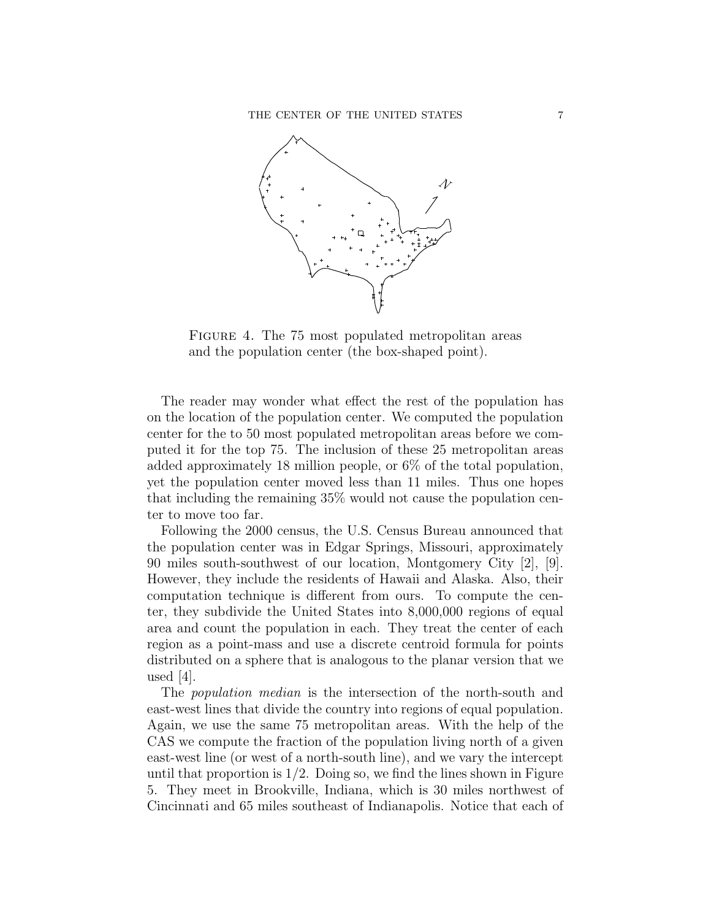

Figure 4. The 75 most populated metropolitan areas and the population center (the box-shaped point).

The reader may wonder what effect the rest of the population has on the location of the population center. We computed the population center for the to 50 most populated metropolitan areas before we computed it for the top 75. The inclusion of these 25 metropolitan areas added approximately 18 million people, or 6% of the total population, yet the population center moved less than 11 miles. Thus one hopes that including the remaining 35% would not cause the population center to move too far.

Following the 2000 census, the U.S. Census Bureau announced that the population center was in Edgar Springs, Missouri, approximately 90 miles south-southwest of our location, Montgomery City [2], [9]. However, they include the residents of Hawaii and Alaska. Also, their computation technique is different from ours. To compute the center, they subdivide the United States into 8,000,000 regions of equal area and count the population in each. They treat the center of each region as a point-mass and use a discrete centroid formula for points distributed on a sphere that is analogous to the planar version that we used  $|4|$ .

The population median is the intersection of the north-south and east-west lines that divide the country into regions of equal population. Again, we use the same 75 metropolitan areas. With the help of the CAS we compute the fraction of the population living north of a given east-west line (or west of a north-south line), and we vary the intercept until that proportion is  $1/2$ . Doing so, we find the lines shown in Figure 5. They meet in Brookville, Indiana, which is 30 miles northwest of Cincinnati and 65 miles southeast of Indianapolis. Notice that each of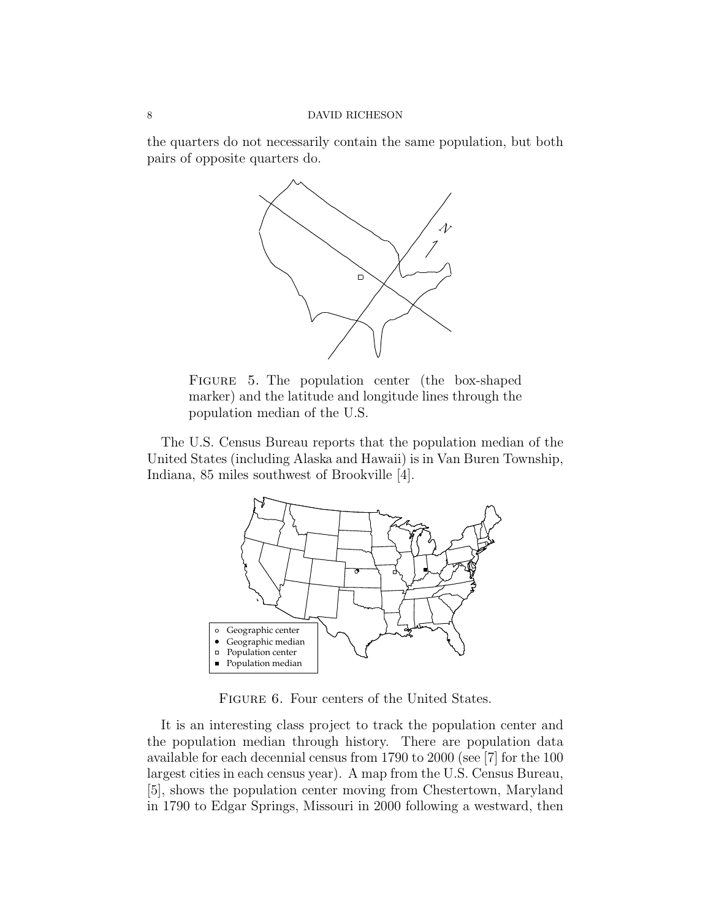the quarters do not necessarily contain the same population, but both pairs of opposite quarters do.



FIGURE 5. The population center (the box-shaped marker) and the latitude and longitude lines through the population median of the U.S.

The U.S. Census Bureau reports that the population median of the United States (including Alaska and Hawaii) is in Van Buren Township, Indiana, 85 miles southwest of Brookville [4].



Figure 6. Four centers of the United States.

It is an interesting class project to track the population center and the population median through history. There are population data available for each decennial census from 1790 to 2000 (see [7] for the 100 largest cities in each census year). A map from the U.S. Census Bureau, [5], shows the population center moving from Chestertown, Maryland in 1790 to Edgar Springs, Missouri in 2000 following a westward, then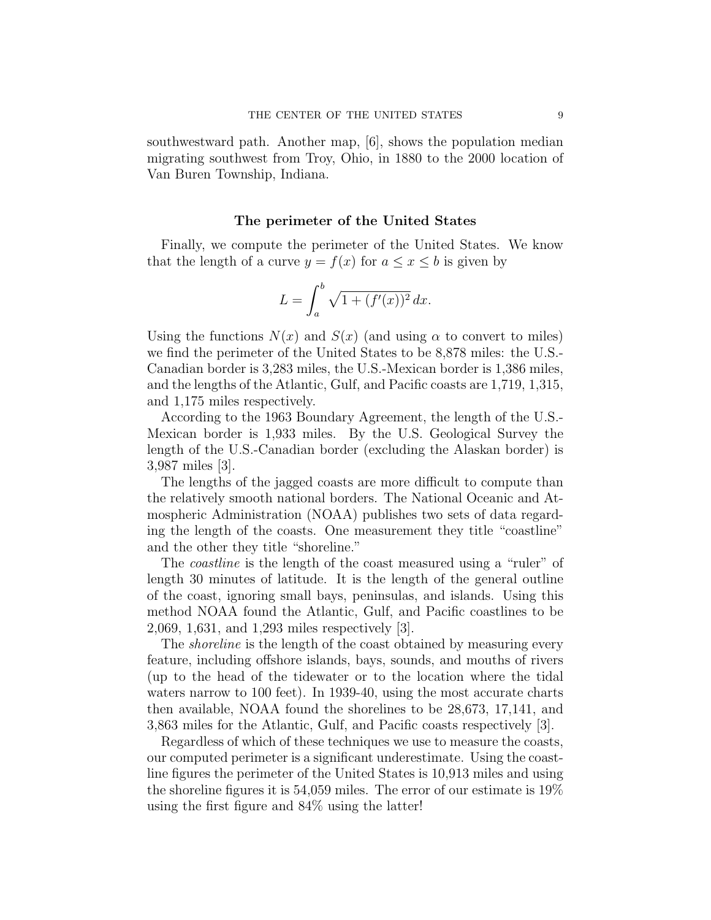southwestward path. Another map, [6], shows the population median migrating southwest from Troy, Ohio, in 1880 to the 2000 location of Van Buren Township, Indiana.

## The perimeter of the United States

Finally, we compute the perimeter of the United States. We know that the length of a curve  $y = f(x)$  for  $a \le x \le b$  is given by

$$
L = \int_{a}^{b} \sqrt{1 + (f'(x))^{2}} \, dx.
$$

Using the functions  $N(x)$  and  $S(x)$  (and using  $\alpha$  to convert to miles) we find the perimeter of the United States to be 8,878 miles: the U.S.- Canadian border is 3,283 miles, the U.S.-Mexican border is 1,386 miles, and the lengths of the Atlantic, Gulf, and Pacific coasts are 1,719, 1,315, and 1,175 miles respectively.

According to the 1963 Boundary Agreement, the length of the U.S.- Mexican border is 1,933 miles. By the U.S. Geological Survey the length of the U.S.-Canadian border (excluding the Alaskan border) is 3,987 miles [3].

The lengths of the jagged coasts are more difficult to compute than the relatively smooth national borders. The National Oceanic and Atmospheric Administration (NOAA) publishes two sets of data regarding the length of the coasts. One measurement they title "coastline" and the other they title "shoreline."

The *coastline* is the length of the coast measured using a "ruler" of length 30 minutes of latitude. It is the length of the general outline of the coast, ignoring small bays, peninsulas, and islands. Using this method NOAA found the Atlantic, Gulf, and Pacific coastlines to be 2,069, 1,631, and 1,293 miles respectively [3].

The *shoreline* is the length of the coast obtained by measuring every feature, including offshore islands, bays, sounds, and mouths of rivers (up to the head of the tidewater or to the location where the tidal waters narrow to 100 feet). In 1939-40, using the most accurate charts then available, NOAA found the shorelines to be 28,673, 17,141, and 3,863 miles for the Atlantic, Gulf, and Pacific coasts respectively [3].

Regardless of which of these techniques we use to measure the coasts, our computed perimeter is a significant underestimate. Using the coastline figures the perimeter of the United States is 10,913 miles and using the shoreline figures it is 54,059 miles. The error of our estimate is 19% using the first figure and 84% using the latter!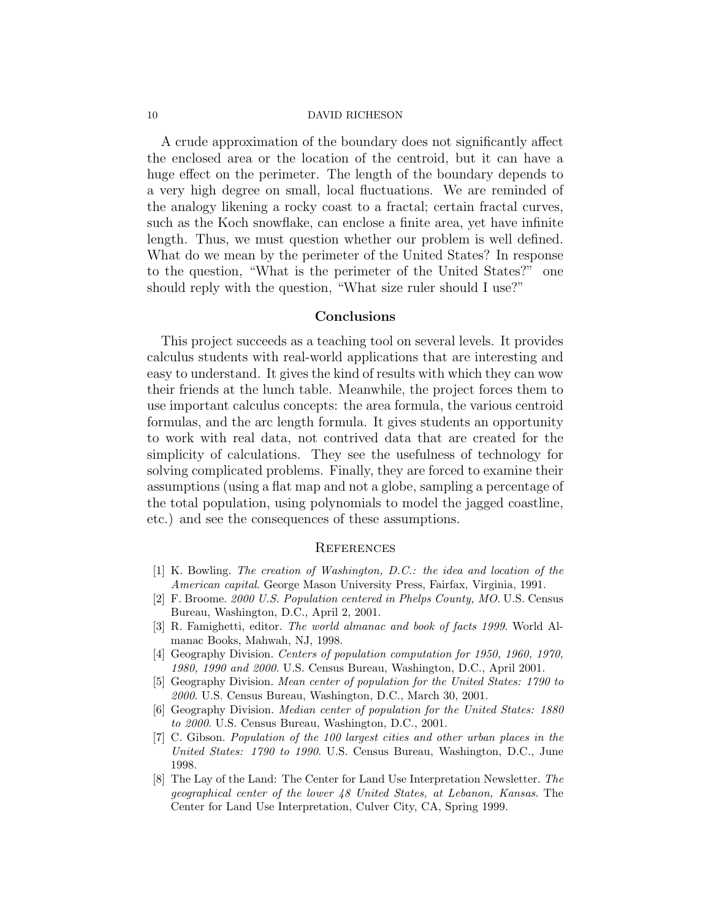A crude approximation of the boundary does not significantly affect the enclosed area or the location of the centroid, but it can have a huge effect on the perimeter. The length of the boundary depends to a very high degree on small, local fluctuations. We are reminded of the analogy likening a rocky coast to a fractal; certain fractal curves, such as the Koch snowflake, can enclose a finite area, yet have infinite length. Thus, we must question whether our problem is well defined. What do we mean by the perimeter of the United States? In response to the question, "What is the perimeter of the United States?" one should reply with the question, "What size ruler should I use?"

## Conclusions

This project succeeds as a teaching tool on several levels. It provides calculus students with real-world applications that are interesting and easy to understand. It gives the kind of results with which they can wow their friends at the lunch table. Meanwhile, the project forces them to use important calculus concepts: the area formula, the various centroid formulas, and the arc length formula. It gives students an opportunity to work with real data, not contrived data that are created for the simplicity of calculations. They see the usefulness of technology for solving complicated problems. Finally, they are forced to examine their assumptions (using a flat map and not a globe, sampling a percentage of the total population, using polynomials to model the jagged coastline, etc.) and see the consequences of these assumptions.

## **REFERENCES**

- [1] K. Bowling. The creation of Washington, D.C.: the idea and location of the American capital. George Mason University Press, Fairfax, Virginia, 1991.
- [2] F. Broome. 2000 U.S. Population centered in Phelps County, MO. U.S. Census Bureau, Washington, D.C., April 2, 2001.
- [3] R. Famighetti, editor. The world almanac and book of facts 1999. World Almanac Books, Mahwah, NJ, 1998.
- [4] Geography Division. Centers of population computation for 1950, 1960, 1970, 1980, 1990 and 2000. U.S. Census Bureau, Washington, D.C., April 2001.
- [5] Geography Division. Mean center of population for the United States: 1790 to 2000. U.S. Census Bureau, Washington, D.C., March 30, 2001.
- [6] Geography Division. Median center of population for the United States: 1880 to 2000. U.S. Census Bureau, Washington, D.C., 2001.
- [7] C. Gibson. Population of the 100 largest cities and other urban places in the United States: 1790 to 1990. U.S. Census Bureau, Washington, D.C., June 1998.
- [8] The Lay of the Land: The Center for Land Use Interpretation Newsletter. The geographical center of the lower 48 United States, at Lebanon, Kansas. The Center for Land Use Interpretation, Culver City, CA, Spring 1999.